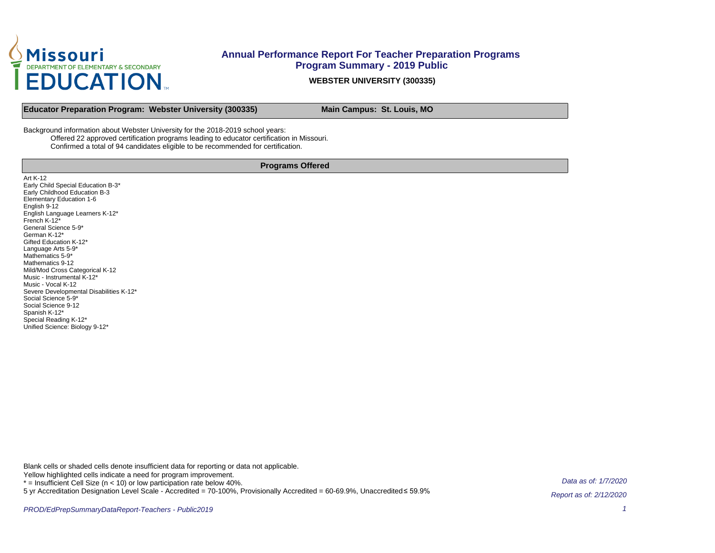

**WEBSTER UNIVERSITY (300335)**

**Educator Preparation Program: Webster University (300335) Main Campus: St. Louis, MO** 

Background information about Webster University for the 2018-2019 school years: Offered 22 approved certification programs leading to educator certification in Missouri. Confirmed a total of 94 candidates eligible to be recommended for certification.

#### **Programs Offered**

Art K-12 Early Child Special Education B-3\* Early Childhood Education B-3 Elementary Education 1-6 English 9-12 English Language Learners K-12\* French K-12\* General Science 5-9\* German K-12\* Gifted Education K-12\* Language Arts 5-9\* Mathematics 5-9<sup>\*</sup> Mathematics 9-12 Mild/Mod Cross Categorical K-12 Music - Instrumental K-12\* Music - Vocal K-12 Severe Developmental Disabilities K-12\* Social Science 5-9\* Social Science 9-12 Spanish K-12\* Special Reading K-12\* Unified Science: Biology 9-12\*

Blank cells or shaded cells denote insufficient data for reporting or data not applicable.

Yellow highlighted cells indicate a need for program improvement.

 $*$  = Insufficient Cell Size ( $n$  < 10) or low participation rate below 40%.

5 yr Accreditation Designation Level Scale - Accredited = 70-100%, Provisionally Accredited = 60-69.9%, Unaccredited ≤ 59.9%

Data as of: 1/7/2020 Report as of: 2/12/2020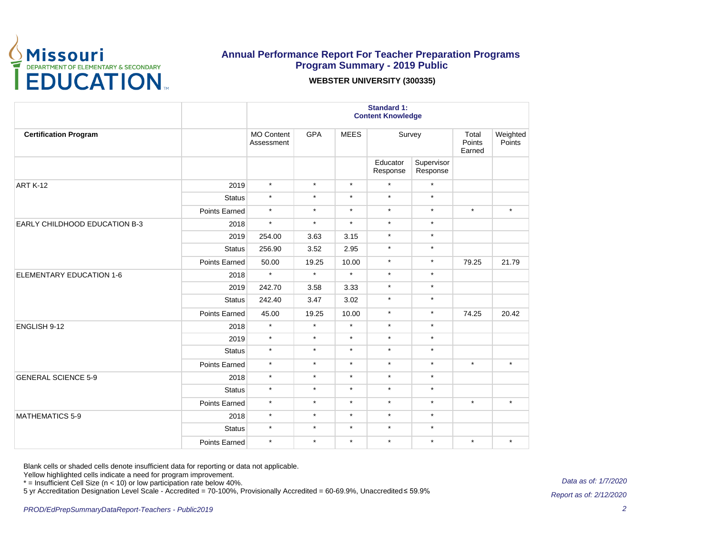

#### **WEBSTER UNIVERSITY (300335)**

|                                 |               | <b>Standard 1:</b><br><b>Content Knowledge</b> |            |             |                      |                                                                                                 |                                        |                    |  |
|---------------------------------|---------------|------------------------------------------------|------------|-------------|----------------------|-------------------------------------------------------------------------------------------------|----------------------------------------|--------------------|--|
| <b>Certification Program</b>    |               | <b>MO Content</b><br>Assessment                | <b>GPA</b> | <b>MEES</b> | Survey               |                                                                                                 | Total<br>Points<br>Earned              | Weighted<br>Points |  |
|                                 |               |                                                |            |             | Educator<br>Response | Supervisor<br>Response                                                                          |                                        |                    |  |
| ART K-12                        | 2019          | $\star$                                        | $\star$    | $\star$     | $\star$              | $\star$                                                                                         |                                        |                    |  |
|                                 | <b>Status</b> | $\star$                                        | $\star$    | $\star$     | $\star$              | $\star$                                                                                         |                                        |                    |  |
|                                 | Points Earned | $\star$                                        | $\star$    | $\star$     | $\star$              | $\star$                                                                                         | $\star$                                | $\star$            |  |
| EARLY CHILDHOOD EDUCATION B-3   | 2018          | $\star$                                        | $\star$    | $\star$     | $\star$              | $\star$                                                                                         |                                        |                    |  |
|                                 | 2019          | 254.00                                         | 3.63       | 3.15        | $\star$              | $\star$                                                                                         |                                        |                    |  |
|                                 | <b>Status</b> | 256.90                                         | 3.52       | 2.95        | $\star$              | $\star$                                                                                         |                                        |                    |  |
|                                 | Points Earned | 50.00                                          | 19.25      | 10.00       | $\star$              | $\star$                                                                                         | 79.25                                  | 21.79              |  |
|                                 | 2018          | $\star$                                        | $\star$    | $\star$     | $\star$              | $\star$                                                                                         |                                        |                    |  |
|                                 | 2019          | 242.70                                         | 3.58       | 3.33        | $\star$              | $\star$                                                                                         |                                        |                    |  |
| <b>ELEMENTARY EDUCATION 1-6</b> | <b>Status</b> | 242.40                                         | 3.47       | 3.02        | $\star$              | $\star$                                                                                         |                                        |                    |  |
|                                 | Points Earned | 45.00                                          | 19.25      | 10.00       | $\star$              | $\star$                                                                                         | 74.25<br>$\star$<br>$\star$<br>$\star$ | 20.42              |  |
| ENGLISH 9-12                    | 2018          | $\star$                                        | $\star$    | $\star$     | $\star$              | $\star$                                                                                         |                                        |                    |  |
|                                 | 2019          | $\star$                                        | $\star$    | $\star$     | $\star$              | $\star$<br>$\star$<br>$\star$<br>$\star$<br>$\star$<br>$\star$<br>$\star$<br>$\star$<br>$\star$ |                                        |                    |  |
|                                 | <b>Status</b> | $\star$                                        | $\star$    | $\star$     | $\star$              |                                                                                                 |                                        |                    |  |
|                                 | Points Earned | $\star$                                        | $\star$    | $\star$     | $\star$              |                                                                                                 |                                        | $\star$            |  |
| <b>GENERAL SCIENCE 5-9</b>      | 2018          | $\star$                                        | $\star$    | $\star$     | $\star$              |                                                                                                 |                                        |                    |  |
|                                 | Status        | $\star$                                        | $\star$    | $\star$     | $\star$              |                                                                                                 |                                        |                    |  |
|                                 | Points Earned | $\star$                                        | $\star$    | $\star$     | $\star$              |                                                                                                 |                                        | $\star$            |  |
| <b>MATHEMATICS 5-9</b>          | 2018          | $\star$                                        | $\star$    | $\star$     | $\star$              |                                                                                                 |                                        |                    |  |
|                                 | <b>Status</b> | $\star$                                        | $\star$    | $\star$     | $\star$              |                                                                                                 |                                        |                    |  |
|                                 | Points Earned | $\star$                                        | $\star$    | $\star$     | $\star$              |                                                                                                 |                                        | $\star$            |  |

Blank cells or shaded cells denote insufficient data for reporting or data not applicable.

Yellow highlighted cells indicate a need for program improvement.

\* = Insufficient Cell Size (n < 10) or low participation rate below 40%.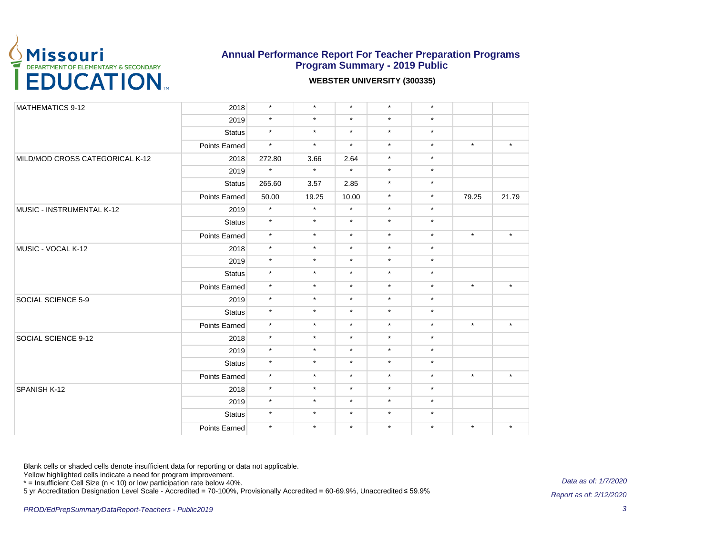

#### **WEBSTER UNIVERSITY (300335)**

| MATHEMATICS 9-12                | 2018          | $\star$ | $\star$ | $\star$ | $\star$ | $\star$ |         |         |
|---------------------------------|---------------|---------|---------|---------|---------|---------|---------|---------|
|                                 | 2019          | $\star$ | $\star$ | $\star$ | $\star$ | $\star$ |         |         |
|                                 | <b>Status</b> | $\star$ | $\star$ | $\star$ | $\star$ | $\star$ |         |         |
|                                 | Points Earned | $\star$ | $\star$ | $\star$ | $\star$ | $\star$ | $\star$ | $\star$ |
| MILD/MOD CROSS CATEGORICAL K-12 | 2018          | 272.80  | 3.66    | 2.64    | $\star$ | $\star$ |         |         |
|                                 | 2019          | $\star$ | $\star$ | $\star$ | $\star$ | $\star$ |         |         |
|                                 | <b>Status</b> | 265.60  | 3.57    | 2.85    | $\star$ | $\star$ |         |         |
|                                 | Points Earned | 50.00   | 19.25   | 10.00   | $\star$ | $\star$ | 79.25   | 21.79   |
| MUSIC - INSTRUMENTAL K-12       | 2019          | $\star$ | $\star$ | $\star$ | $\star$ | $\star$ |         |         |
|                                 | <b>Status</b> | $\star$ | $\star$ | $\star$ | $\star$ | $\star$ |         |         |
|                                 | Points Earned | $\star$ | $\star$ | $\star$ | $\star$ | $\star$ | $\star$ | $\star$ |
| MUSIC - VOCAL K-12              | 2018          | $\star$ | $\star$ | $\star$ | $\star$ | $\star$ |         |         |
|                                 | 2019          | $\star$ | $\star$ | $\star$ | $\star$ | $\star$ |         |         |
|                                 | <b>Status</b> | $\star$ | $\star$ | $\star$ | $\star$ | $\star$ |         |         |
|                                 | Points Earned | $\star$ | $\star$ | $\star$ | $\star$ | $\star$ | $\star$ | $\star$ |
| SOCIAL SCIENCE 5-9              | 2019          | $\star$ | $\star$ | $\star$ | $\star$ | $\star$ |         |         |
|                                 | <b>Status</b> | $\star$ | $\star$ | $\star$ | $\star$ | $\star$ |         |         |
|                                 | Points Earned | $\star$ | $\star$ | $\star$ | $\star$ | $\star$ | $\star$ | $\star$ |
| SOCIAL SCIENCE 9-12             | 2018          | $\star$ | $\star$ | $\star$ | $\star$ | $\star$ |         |         |
|                                 | 2019          | $\star$ | $\star$ | $\star$ | $\star$ | $\star$ |         |         |
|                                 | <b>Status</b> | $\star$ | $\star$ | $\star$ | $\star$ | $\star$ |         |         |
|                                 | Points Earned | $\star$ | $\star$ | $\star$ | $\star$ | $\star$ | $\star$ | $\star$ |
| SPANISH K-12                    | 2018          | $\star$ | $\star$ | $\star$ | $\star$ | $\star$ |         |         |
|                                 | 2019          | $\star$ | $\star$ | $\star$ | $\star$ | $\star$ |         |         |
|                                 | <b>Status</b> | $\star$ | $\star$ | $\star$ | $\star$ | $\star$ |         |         |
|                                 | Points Earned | $\star$ | $\star$ | $\star$ | $\star$ | $\star$ | $\star$ | $\star$ |

Blank cells or shaded cells denote insufficient data for reporting or data not applicable.

Yellow highlighted cells indicate a need for program improvement.

\* = Insufficient Cell Size (n < 10) or low participation rate below 40%.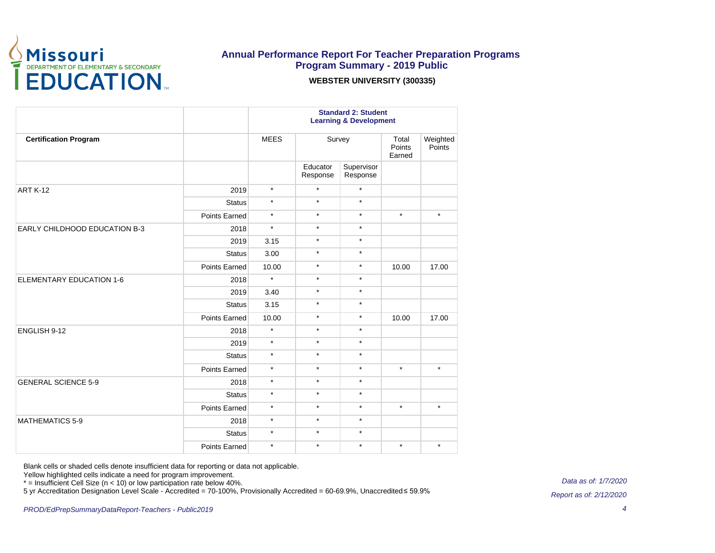

#### **WEBSTER UNIVERSITY (300335)**

|                                 |                      | <b>Standard 2: Student</b><br><b>Learning &amp; Development</b> |                      |                        |                                                            |                    |  |
|---------------------------------|----------------------|-----------------------------------------------------------------|----------------------|------------------------|------------------------------------------------------------|--------------------|--|
| <b>Certification Program</b>    |                      | <b>MEES</b>                                                     | Survey               |                        | Total<br>Points<br>Earned                                  | Weighted<br>Points |  |
|                                 |                      |                                                                 | Educator<br>Response | Supervisor<br>Response |                                                            |                    |  |
| ART K-12                        | 2019                 | $\star$                                                         | $\star$              | $\star$                |                                                            |                    |  |
|                                 | <b>Status</b>        | $\star$                                                         | $\star$              | $\star$                |                                                            |                    |  |
|                                 | Points Earned        | $\star$                                                         | $\star$              | $\star$                | $\star$<br>10.00<br>10.00<br>$\star$<br>$\star$<br>$\star$ | $\star$            |  |
| EARLY CHILDHOOD EDUCATION B-3   | 2018                 | $\star$                                                         | $\star$              | $\star$                |                                                            |                    |  |
|                                 | 2019                 | 3.15                                                            | $\star$              | $\star$                |                                                            |                    |  |
|                                 | <b>Status</b>        | 3.00                                                            | $\star$              | $\star$                |                                                            |                    |  |
|                                 | <b>Points Earned</b> | 10.00                                                           | $\star$              | $\star$                |                                                            | 17.00              |  |
| <b>ELEMENTARY EDUCATION 1-6</b> | 2018                 | $\star$                                                         | $\star$              | $\star$                |                                                            |                    |  |
|                                 | 2019                 | 3.40                                                            | $\star$              | $\star$                |                                                            |                    |  |
|                                 | <b>Status</b>        | 3.15                                                            | $\star$              | $\star$                |                                                            |                    |  |
|                                 | Points Earned        | 10.00                                                           | $\star$              | $\star$                |                                                            | 17.00              |  |
| ENGLISH 9-12                    | 2018                 | $\star$                                                         | $\star$              | $\star$                |                                                            |                    |  |
|                                 | 2019                 | $\star$                                                         | $\star$              | $\star$                |                                                            |                    |  |
|                                 | <b>Status</b>        | $\star$                                                         | $\star$              | $\star$                |                                                            |                    |  |
|                                 | Points Earned        | $\star$                                                         | $\star$              | $\star$                |                                                            | $\star$            |  |
| <b>GENERAL SCIENCE 5-9</b>      | 2018                 | $\star$                                                         | $\star$              | $\star$                |                                                            |                    |  |
|                                 | <b>Status</b>        | $\star$                                                         | $\star$              | $\star$                |                                                            |                    |  |
|                                 | Points Earned        | $\star$                                                         | $\star$              | $\star$                |                                                            | $\star$            |  |
| <b>MATHEMATICS 5-9</b>          | 2018                 | $\star$                                                         | $\star$              | $\star$                |                                                            |                    |  |
|                                 | Status               | $\star$                                                         | $\star$              | $\star$                |                                                            |                    |  |
|                                 | Points Earned        | $\star$                                                         | $\star$              | $\star$                |                                                            | $\star$            |  |

Blank cells or shaded cells denote insufficient data for reporting or data not applicable.

Yellow highlighted cells indicate a need for program improvement.

\* = Insufficient Cell Size (n < 10) or low participation rate below 40%.

5 yr Accreditation Designation Level Scale - Accredited = 70-100%, Provisionally Accredited = 60-69.9%, Unaccredited ≤ 59.9%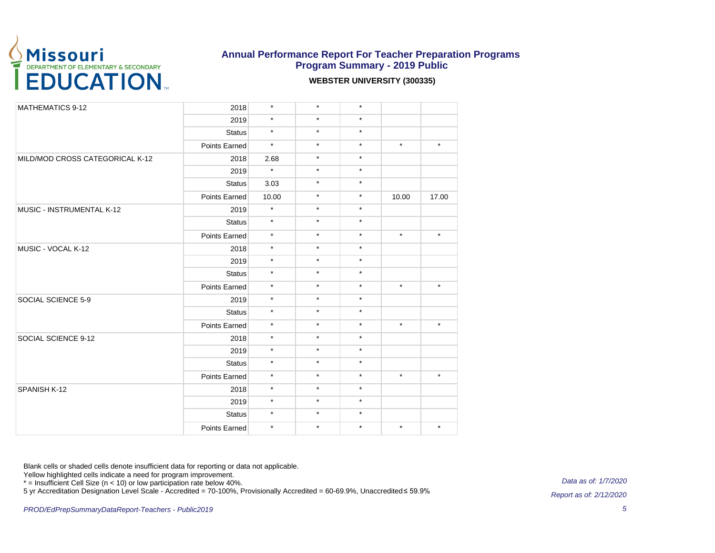

#### **WEBSTER UNIVERSITY (300335)**

| <b>MATHEMATICS 9-12</b>         | 2018          | $\star$ | $\star$                                                                                                                                                                                                                                                                                                                                                                                                                                                                                                                                                                       | $\star$ |                  |         |
|---------------------------------|---------------|---------|-------------------------------------------------------------------------------------------------------------------------------------------------------------------------------------------------------------------------------------------------------------------------------------------------------------------------------------------------------------------------------------------------------------------------------------------------------------------------------------------------------------------------------------------------------------------------------|---------|------------------|---------|
|                                 | 2019          | $\star$ |                                                                                                                                                                                                                                                                                                                                                                                                                                                                                                                                                                               |         |                  |         |
|                                 |               |         | $\star$<br>$\star$<br>$\star$<br>$\star$<br>$\star$<br>$\star$<br>$\star$<br>$\star$<br>$\star$<br>$\star$<br>$\star$<br>$\star$<br>$\star$<br>$\star$<br>$\star$<br>$\star$<br>$\star$<br>$\star$<br>$\star$<br>$\star$<br>$\star$<br>$\star$<br>$\star$<br>$\star$<br>$\star$<br>$\star$<br>$\star$<br>$\star$<br>$\star$<br>$\star$<br>$\star$<br>$\star$<br>$\star$<br>$\star$<br>$\star$<br>$\star$<br>$\star$<br>$\star$<br>$\star$<br>$\star$<br>$\star$<br>$\star$<br>$\star$<br>$\star$<br>$\star$<br>$\star$<br>$\star$<br>$\star$<br>$\star$<br>$\star$<br>$\star$ |         |                  |         |
|                                 | <b>Status</b> | $\star$ |                                                                                                                                                                                                                                                                                                                                                                                                                                                                                                                                                                               |         |                  |         |
|                                 | Points Earned | $\star$ |                                                                                                                                                                                                                                                                                                                                                                                                                                                                                                                                                                               |         |                  | $\star$ |
| MILD/MOD CROSS CATEGORICAL K-12 | 2018          | 2.68    |                                                                                                                                                                                                                                                                                                                                                                                                                                                                                                                                                                               |         |                  |         |
|                                 | 2019          | $\star$ |                                                                                                                                                                                                                                                                                                                                                                                                                                                                                                                                                                               |         |                  |         |
|                                 | <b>Status</b> | 3.03    |                                                                                                                                                                                                                                                                                                                                                                                                                                                                                                                                                                               |         |                  |         |
|                                 | Points Earned | 10.00   |                                                                                                                                                                                                                                                                                                                                                                                                                                                                                                                                                                               |         | 10.00<br>$\star$ | 17.00   |
| MUSIC - INSTRUMENTAL K-12       | 2019          | $\star$ |                                                                                                                                                                                                                                                                                                                                                                                                                                                                                                                                                                               |         |                  |         |
|                                 | <b>Status</b> | $\star$ |                                                                                                                                                                                                                                                                                                                                                                                                                                                                                                                                                                               |         |                  |         |
|                                 | Points Earned | $\star$ |                                                                                                                                                                                                                                                                                                                                                                                                                                                                                                                                                                               |         |                  | $\star$ |
| MUSIC - VOCAL K-12              | 2018          | $\star$ |                                                                                                                                                                                                                                                                                                                                                                                                                                                                                                                                                                               |         |                  |         |
|                                 | 2019          | $\star$ |                                                                                                                                                                                                                                                                                                                                                                                                                                                                                                                                                                               |         |                  |         |
|                                 | <b>Status</b> | $\star$ |                                                                                                                                                                                                                                                                                                                                                                                                                                                                                                                                                                               |         |                  |         |
|                                 | Points Earned | $\star$ |                                                                                                                                                                                                                                                                                                                                                                                                                                                                                                                                                                               |         |                  | $\star$ |
| SOCIAL SCIENCE 5-9              | 2019          | $\star$ |                                                                                                                                                                                                                                                                                                                                                                                                                                                                                                                                                                               |         |                  |         |
|                                 | <b>Status</b> | $\star$ |                                                                                                                                                                                                                                                                                                                                                                                                                                                                                                                                                                               |         |                  |         |
|                                 | Points Earned | $\star$ |                                                                                                                                                                                                                                                                                                                                                                                                                                                                                                                                                                               |         |                  | $\star$ |
| SOCIAL SCIENCE 9-12             | 2018          | $\star$ |                                                                                                                                                                                                                                                                                                                                                                                                                                                                                                                                                                               |         |                  |         |
|                                 | 2019          | $\star$ |                                                                                                                                                                                                                                                                                                                                                                                                                                                                                                                                                                               |         |                  |         |
|                                 | <b>Status</b> | $\star$ |                                                                                                                                                                                                                                                                                                                                                                                                                                                                                                                                                                               |         |                  |         |
|                                 | Points Earned | $\star$ |                                                                                                                                                                                                                                                                                                                                                                                                                                                                                                                                                                               |         |                  | $\star$ |
| SPANISH K-12                    | 2018          | $\star$ |                                                                                                                                                                                                                                                                                                                                                                                                                                                                                                                                                                               |         |                  |         |
|                                 | 2019          | $\star$ |                                                                                                                                                                                                                                                                                                                                                                                                                                                                                                                                                                               |         |                  |         |
|                                 | <b>Status</b> | $\star$ | $\star$                                                                                                                                                                                                                                                                                                                                                                                                                                                                                                                                                                       | $\star$ |                  |         |
|                                 | Points Earned | $\star$ | $\star$                                                                                                                                                                                                                                                                                                                                                                                                                                                                                                                                                                       | $\star$ |                  | $\star$ |

Blank cells or shaded cells denote insufficient data for reporting or data not applicable.

Yellow highlighted cells indicate a need for program improvement.

\* = Insufficient Cell Size (n < 10) or low participation rate below 40%.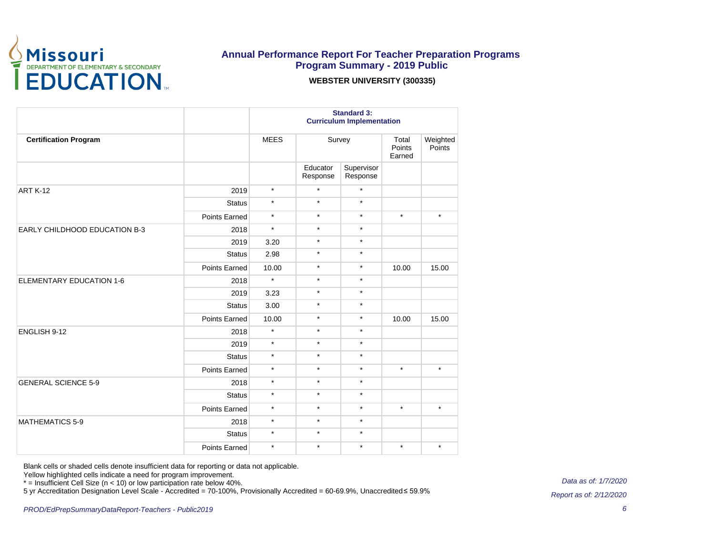

#### **WEBSTER UNIVERSITY (300335)**

|                                 |               | <b>Standard 3:</b><br><b>Curriculum Implementation</b> |                      |                        |                                                                                                 |                    |  |
|---------------------------------|---------------|--------------------------------------------------------|----------------------|------------------------|-------------------------------------------------------------------------------------------------|--------------------|--|
| <b>Certification Program</b>    |               | <b>MEES</b>                                            | Survey               |                        | Total<br>Points<br>Earned                                                                       | Weighted<br>Points |  |
|                                 |               |                                                        | Educator<br>Response | Supervisor<br>Response |                                                                                                 |                    |  |
| <b>ART K-12</b>                 | 2019          | $\star$                                                | $\star$              | $\star$                |                                                                                                 |                    |  |
|                                 | <b>Status</b> | $\star$                                                | $\star$              | $\star$                |                                                                                                 |                    |  |
|                                 | Points Earned | $\star$                                                | $\star$              | $\star$                | $\star$<br>10.00<br>10.00<br>$\star$<br>$\star$<br>$\star$                                      | $\star$            |  |
| EARLY CHILDHOOD EDUCATION B-3   | 2018          | $\star$                                                | $\star$              | $\star$                |                                                                                                 |                    |  |
|                                 | 2019          | 3.20                                                   | $\star$              | $\star$                |                                                                                                 |                    |  |
|                                 | <b>Status</b> | 2.98                                                   | $\star$              | $\star$                |                                                                                                 |                    |  |
|                                 | Points Earned | 10.00                                                  | $\star$              | $\star$                | $\star$                                                                                         | 15.00              |  |
| <b>ELEMENTARY EDUCATION 1-6</b> | 2018          | $\star$                                                | $\star$              |                        |                                                                                                 |                    |  |
|                                 | 2019          | 3.23                                                   | $\star$              | $\star$                |                                                                                                 |                    |  |
|                                 | <b>Status</b> | 3.00                                                   | $\star$              | $\star$                |                                                                                                 |                    |  |
|                                 | Points Earned | 10.00                                                  | $\star$              | $\star$                |                                                                                                 | 15.00              |  |
| ENGLISH 9-12                    | 2018          | $\star$                                                | $\star$              | $\star$                | $\star$<br>$\star$<br>$\star$<br>$\star$<br>$\star$<br>$\star$<br>$\star$<br>$\star$<br>$\star$ |                    |  |
|                                 | 2019          | $\star$                                                | $\star$              |                        |                                                                                                 |                    |  |
|                                 | <b>Status</b> | $\star$                                                | $\star$              |                        |                                                                                                 |                    |  |
|                                 | Points Earned | $\star$                                                | $\star$              |                        |                                                                                                 | $\star$            |  |
| <b>GENERAL SCIENCE 5-9</b>      | 2018          | $\star$                                                | $\star$              |                        |                                                                                                 |                    |  |
|                                 | <b>Status</b> | $\star$                                                | $\star$              |                        |                                                                                                 |                    |  |
|                                 | Points Earned | $\star$                                                | $\star$              |                        |                                                                                                 | $\star$            |  |
| <b>MATHEMATICS 5-9</b>          | 2018          | $\star$                                                | $\star$              |                        |                                                                                                 |                    |  |
|                                 | <b>Status</b> | $\star$                                                | $\star$              |                        |                                                                                                 |                    |  |
|                                 | Points Earned | $\star$                                                | $\star$              |                        |                                                                                                 | $\star$            |  |

Blank cells or shaded cells denote insufficient data for reporting or data not applicable.

Yellow highlighted cells indicate a need for program improvement.

\* = Insufficient Cell Size (n < 10) or low participation rate below 40%.

5 yr Accreditation Designation Level Scale - Accredited = 70-100%, Provisionally Accredited = 60-69.9%, Unaccredited ≤ 59.9%

Data as of: 1/7/2020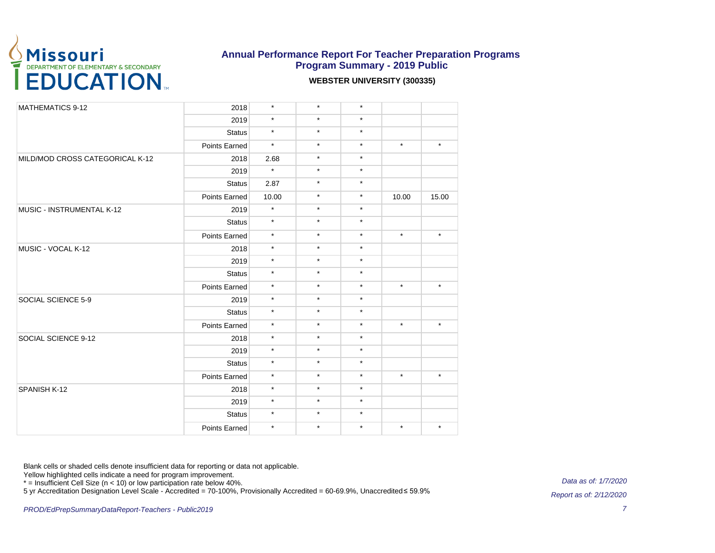

#### **WEBSTER UNIVERSITY (300335)**

| <b>MATHEMATICS 9-12</b>         | 2018          | $\star$ | $\star$ | $\star$ |                                                              |         |
|---------------------------------|---------------|---------|---------|---------|--------------------------------------------------------------|---------|
|                                 | 2019          | $\star$ | $\star$ | $\star$ |                                                              |         |
|                                 | <b>Status</b> | $\star$ | $\star$ | $\star$ |                                                              |         |
|                                 | Points Earned | $\star$ | $\star$ | $\star$ | $\star$                                                      | $\star$ |
| MILD/MOD CROSS CATEGORICAL K-12 | 2018          | 2.68    | $\star$ | $\star$ |                                                              |         |
|                                 | 2019          | $\star$ | $\star$ | $\star$ |                                                              |         |
|                                 | <b>Status</b> | 2.87    | $\star$ | $\star$ |                                                              |         |
|                                 | Points Earned | 10.00   | $\star$ | $\star$ | 10.00<br>$\star$<br>$\star$<br>$\star$<br>$\star$<br>$\star$ | 15.00   |
| MUSIC - INSTRUMENTAL K-12       | 2019          | $\star$ | $\star$ | $\star$ |                                                              |         |
|                                 | <b>Status</b> | $\star$ | $\star$ | $\star$ |                                                              |         |
|                                 | Points Earned | $\star$ | $\star$ | $\star$ |                                                              | $\star$ |
| MUSIC - VOCAL K-12              | 2018          | $\star$ | $\star$ | $\star$ |                                                              |         |
|                                 | 2019          | $\star$ | $\star$ | $\star$ |                                                              |         |
|                                 | <b>Status</b> | $\star$ | $\star$ | $\star$ |                                                              |         |
|                                 | Points Earned | $\star$ | $\star$ | $\star$ |                                                              | $\star$ |
| SOCIAL SCIENCE 5-9              | 2019          | $\star$ | $\star$ | $\star$ |                                                              |         |
|                                 | <b>Status</b> | $\star$ | $\star$ | $\star$ |                                                              |         |
|                                 | Points Earned | $\star$ | $\star$ | $\star$ |                                                              | $\star$ |
| SOCIAL SCIENCE 9-12             | 2018          | $\star$ | $\star$ | $\star$ |                                                              |         |
|                                 | 2019          | $\star$ | $\star$ | $\star$ |                                                              |         |
|                                 | <b>Status</b> | $\star$ | $\star$ | $\star$ |                                                              |         |
|                                 | Points Earned | $\star$ | $\star$ | $\star$ |                                                              | $\star$ |
| SPANISH K-12                    | 2018          | $\star$ | $\star$ | $\star$ |                                                              |         |
|                                 | 2019          | $\star$ | $\star$ | $\star$ |                                                              |         |
|                                 | <b>Status</b> | $\star$ | $\star$ | $\star$ |                                                              |         |
|                                 | Points Earned | $\star$ | $\star$ | $\star$ |                                                              | $\star$ |

Blank cells or shaded cells denote insufficient data for reporting or data not applicable.

Yellow highlighted cells indicate a need for program improvement.

\* = Insufficient Cell Size (n < 10) or low participation rate below 40%.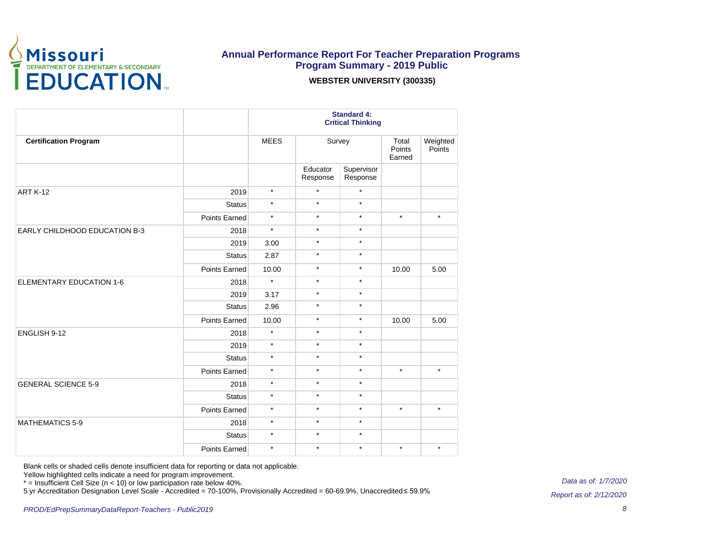

#### **WEBSTER UNIVERSITY (300335)**

|                                      |               | <b>Standard 4:</b><br><b>Critical Thinking</b> |                      |                        |                                      |                    |  |
|--------------------------------------|---------------|------------------------------------------------|----------------------|------------------------|--------------------------------------|--------------------|--|
| <b>Certification Program</b>         |               | <b>MEES</b>                                    |                      | Survey                 | Total<br>Points<br>Earned            | Weighted<br>Points |  |
|                                      |               |                                                | Educator<br>Response | Supervisor<br>Response |                                      |                    |  |
| <b>ART K-12</b>                      | 2019          | $\star$                                        | $\star$              | $\star$                |                                      |                    |  |
|                                      | <b>Status</b> | $\star$                                        | $\star$              | $\star$                |                                      |                    |  |
|                                      | Points Earned | $\star$                                        | $\star$              | $\star$                | $\star$                              | $\star$            |  |
| <b>EARLY CHILDHOOD EDUCATION B-3</b> | 2018          | $\star$                                        | $\star$              | $\star$                | 10.00<br>10.00<br>$\star$<br>$\star$ |                    |  |
|                                      | 2019          | 3.00                                           | $\star$              | $\star$                |                                      |                    |  |
|                                      | <b>Status</b> | 2.87                                           | $\star$              | $\star$                |                                      |                    |  |
|                                      | Points Earned | 10.00                                          | $\star$              | $\star$                |                                      | 5.00               |  |
| <b>ELEMENTARY EDUCATION 1-6</b>      | 2018          | $\star$                                        | $\star$              | $\star$                |                                      |                    |  |
|                                      | 2019          | 3.17                                           | $\star$              | $\star$                |                                      |                    |  |
|                                      | <b>Status</b> | 2.96                                           | $\star$              | $\star$                |                                      |                    |  |
|                                      | Points Earned | 10.00                                          | $\star$              | $\star$                | $\star$                              | 5.00               |  |
| ENGLISH 9-12                         | 2018          | $\star$                                        | $\star$              | $\star$                |                                      |                    |  |
|                                      | 2019          | $\star$                                        | $\star$              | $\star$                |                                      |                    |  |
|                                      | <b>Status</b> | $\star$                                        | $\star$              | $\star$                |                                      |                    |  |
|                                      | Points Earned | $\star$                                        | $\star$              | $\star$                |                                      | $\star$            |  |
| <b>GENERAL SCIENCE 5-9</b>           | 2018          | $\star$                                        | $\star$              | $\star$                |                                      |                    |  |
|                                      | <b>Status</b> | $\star$                                        | $\star$              | $\star$                |                                      |                    |  |
|                                      | Points Earned | $\star$                                        | $\star$              | $\star$                |                                      | $\star$            |  |
| <b>MATHEMATICS 5-9</b>               | 2018          | $\star$                                        | $\star$              | $\star$                |                                      |                    |  |
|                                      | <b>Status</b> | $\star$                                        | $\star$              | $\star$                |                                      |                    |  |
|                                      | Points Earned | $\star$                                        | $\star$              | $\star$                |                                      | $\star$            |  |

Blank cells or shaded cells denote insufficient data for reporting or data not applicable.

Yellow highlighted cells indicate a need for program improvement.

\* = Insufficient Cell Size (n < 10) or low participation rate below 40%.

5 yr Accreditation Designation Level Scale - Accredited = 70-100%, Provisionally Accredited = 60-69.9%, Unaccredited ≤ 59.9%

Data as of: 1/7/2020

8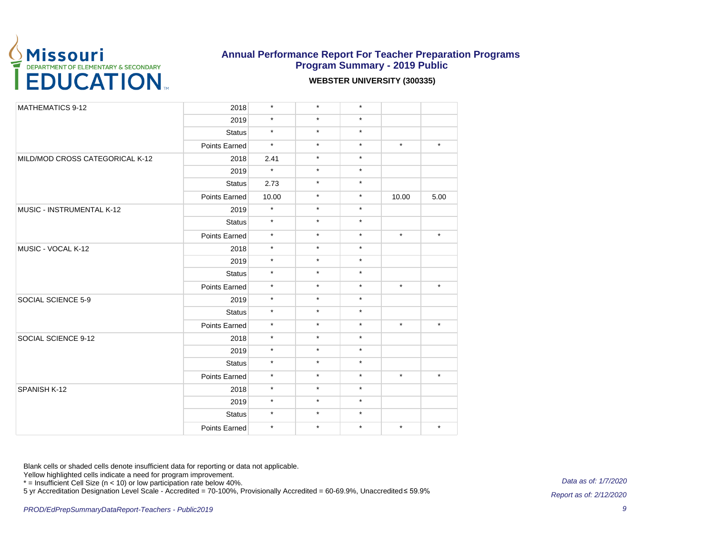

#### **WEBSTER UNIVERSITY (300335)**

| MATHEMATICS 9-12                | 2018                 | $\star$ | $\star$ | $\star$ |                                                              |         |
|---------------------------------|----------------------|---------|---------|---------|--------------------------------------------------------------|---------|
|                                 | 2019                 | $\star$ | $\star$ | $\star$ |                                                              |         |
|                                 | <b>Status</b>        | $\star$ | $\star$ | $\star$ |                                                              |         |
|                                 | Points Earned        | $\star$ | $\star$ | $\star$ | $\star$                                                      | $\star$ |
| MILD/MOD CROSS CATEGORICAL K-12 | 2018                 | 2.41    | $\star$ | $\star$ |                                                              |         |
|                                 | 2019                 | $\star$ | $\star$ | $\star$ |                                                              |         |
|                                 | <b>Status</b>        | 2.73    | $\star$ | $\star$ |                                                              |         |
|                                 | Points Earned        | 10.00   | $\star$ | $\star$ | 10.00<br>$\star$<br>$\star$<br>$\star$<br>$\star$<br>$\star$ | 5.00    |
| MUSIC - INSTRUMENTAL K-12       | 2019                 | $\star$ | $\star$ | $\star$ |                                                              |         |
|                                 | <b>Status</b>        | $\star$ | $\star$ | $\star$ |                                                              |         |
|                                 | <b>Points Earned</b> | $\star$ | $\star$ | $\star$ |                                                              | $\star$ |
| MUSIC - VOCAL K-12              | 2018                 | $\star$ | $\star$ | $\star$ |                                                              |         |
|                                 | 2019                 | $\star$ | $\star$ | $\star$ |                                                              |         |
|                                 | <b>Status</b>        | $\star$ | $\star$ | $\star$ |                                                              |         |
|                                 | Points Earned        | $\star$ | $\star$ | $\star$ |                                                              | $\star$ |
| SOCIAL SCIENCE 5-9              | 2019                 | $\star$ | $\star$ | $\star$ |                                                              |         |
|                                 | <b>Status</b>        | $\star$ | $\star$ | $\star$ |                                                              |         |
|                                 | Points Earned        | $\star$ | $\star$ | $\star$ |                                                              | $\star$ |
| SOCIAL SCIENCE 9-12             | 2018                 | $\star$ | $\star$ | $\star$ |                                                              |         |
|                                 | 2019                 | $\star$ | $\star$ | $\star$ |                                                              |         |
|                                 | <b>Status</b>        | $\star$ | $\star$ | $\star$ |                                                              |         |
|                                 | Points Earned        | $\star$ | $\star$ | $\star$ |                                                              | $\star$ |
| SPANISH K-12                    | 2018                 | $\star$ | $\star$ | $\star$ |                                                              |         |
|                                 | 2019                 | $\star$ | $\star$ | $\star$ |                                                              |         |
|                                 | <b>Status</b>        | $\star$ | $\star$ | $\star$ |                                                              |         |
|                                 | Points Earned        | $\star$ | $\star$ | $\star$ |                                                              | $\star$ |

Blank cells or shaded cells denote insufficient data for reporting or data not applicable.

Yellow highlighted cells indicate a need for program improvement.

\* = Insufficient Cell Size (n < 10) or low participation rate below 40%.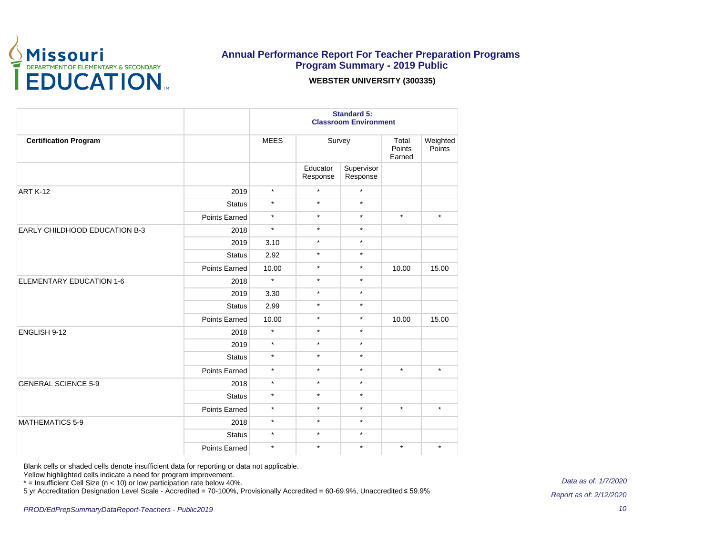

#### **WEBSTER UNIVERSITY (300335)**

|                                 |               | <b>Standard 5:</b><br><b>Classroom Environment</b> |                      |                        |                                                                                         |                    |  |
|---------------------------------|---------------|----------------------------------------------------|----------------------|------------------------|-----------------------------------------------------------------------------------------|--------------------|--|
| <b>Certification Program</b>    |               | <b>MEES</b>                                        |                      | Survey                 |                                                                                         | Weighted<br>Points |  |
|                                 |               |                                                    | Educator<br>Response | Supervisor<br>Response |                                                                                         |                    |  |
| <b>ART K-12</b>                 | 2019          | $\star$                                            | $\star$              | $\star$                |                                                                                         |                    |  |
|                                 | <b>Status</b> | $\star$                                            | $\star$              | $\star$                |                                                                                         |                    |  |
|                                 | Points Earned | $\star$                                            | $\star$              | $\star$                | Total<br>Points<br>Earned<br>$\star$<br>10.00<br>10.00<br>$\star$<br>$\star$<br>$\star$ | $\star$            |  |
| EARLY CHILDHOOD EDUCATION B-3   | 2018          | $\star$                                            | $\star$              | $\star$                |                                                                                         |                    |  |
|                                 | 2019          | 3.10                                               | $\star$              | $\star$                |                                                                                         |                    |  |
|                                 | <b>Status</b> | 2.92                                               | $\star$              | $\star$                |                                                                                         |                    |  |
|                                 | Points Earned | 10.00                                              | $\star$              | $\star$                |                                                                                         | 15.00              |  |
| <b>ELEMENTARY EDUCATION 1-6</b> | 2018          | $\star$                                            | $\star$              | $\star$                |                                                                                         |                    |  |
|                                 | 2019          | 3.30                                               | $\star$              | $\star$                |                                                                                         |                    |  |
|                                 | <b>Status</b> | 2.99                                               | $\star$              | $\star$                |                                                                                         |                    |  |
|                                 | Points Earned | 10.00                                              | $\star$              | $\star$                |                                                                                         | 15.00              |  |
| ENGLISH 9-12                    | 2018          | $\star$                                            | $\star$              | $\star$                |                                                                                         |                    |  |
|                                 | 2019          | $\star$                                            | $\star$              | $\star$                |                                                                                         |                    |  |
|                                 | <b>Status</b> | $\star$                                            | $\star$              | $\star$                |                                                                                         |                    |  |
|                                 | Points Earned | $\star$                                            | $\star$              | $\star$                |                                                                                         | $\star$            |  |
| <b>GENERAL SCIENCE 5-9</b>      | 2018          | $\star$                                            | $\star$              | $\star$                |                                                                                         |                    |  |
|                                 | <b>Status</b> | $\star$                                            | $\star$              | $\star$                |                                                                                         |                    |  |
|                                 | Points Earned | $\star$                                            | $\star$              | $\star$                |                                                                                         | $\star$            |  |
| <b>MATHEMATICS 5-9</b>          | 2018          | $\star$                                            | $\star$              | $\star$                |                                                                                         |                    |  |
|                                 | <b>Status</b> | $\star$                                            | $\star$              | $\star$                |                                                                                         |                    |  |
|                                 | Points Earned | $\star$                                            | $\star$              | $\star$                |                                                                                         | $\star$            |  |

Blank cells or shaded cells denote insufficient data for reporting or data not applicable.

Yellow highlighted cells indicate a need for program improvement.

\* = Insufficient Cell Size (n < 10) or low participation rate below 40%.

5 yr Accreditation Designation Level Scale - Accredited = 70-100%, Provisionally Accredited = 60-69.9%, Unaccredited ≤ 59.9%

Data as of: 1/7/2020

10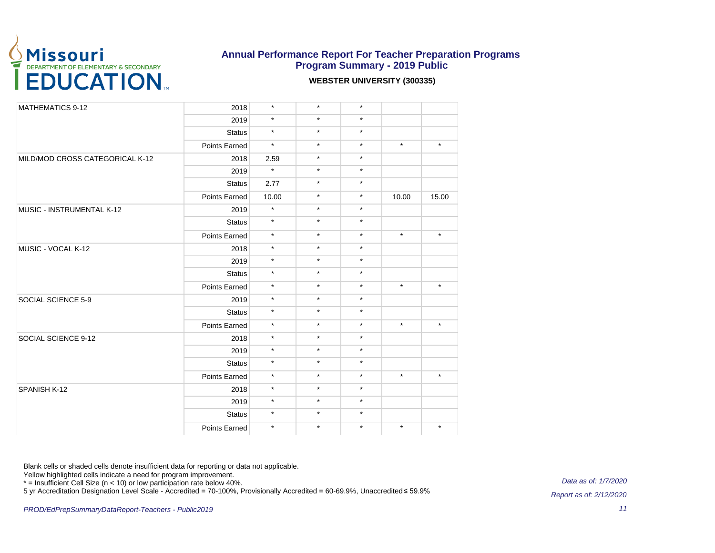

#### **WEBSTER UNIVERSITY (300335)**

| <b>MATHEMATICS 9-12</b>         | 2018          | $\star$ | $\star$ | $\star$ |                                                              |         |
|---------------------------------|---------------|---------|---------|---------|--------------------------------------------------------------|---------|
|                                 | 2019          | $\star$ | $\star$ | $\star$ |                                                              |         |
|                                 | <b>Status</b> | $\star$ | $\star$ | $\star$ |                                                              |         |
|                                 | Points Earned | $\star$ | $\star$ | $\star$ | $\star$                                                      | $\star$ |
| MILD/MOD CROSS CATEGORICAL K-12 | 2018          | 2.59    | $\star$ | $\star$ |                                                              |         |
|                                 | 2019          | $\star$ | $\star$ | $\star$ |                                                              |         |
|                                 | <b>Status</b> | 2.77    | $\star$ | $\star$ |                                                              |         |
|                                 | Points Earned | 10.00   | $\star$ | $\star$ | 10.00<br>$\star$<br>$\star$<br>$\star$<br>$\star$<br>$\star$ | 15.00   |
| MUSIC - INSTRUMENTAL K-12       | 2019          | $\star$ | $\star$ | $\star$ |                                                              |         |
|                                 | <b>Status</b> | $\star$ | $\star$ | $\star$ |                                                              |         |
|                                 | Points Earned | $\star$ | $\star$ | $\star$ |                                                              | $\star$ |
| MUSIC - VOCAL K-12              | 2018          | $\star$ | $\star$ | $\star$ |                                                              |         |
|                                 | 2019          | $\star$ | $\star$ | $\star$ |                                                              |         |
|                                 | <b>Status</b> | $\star$ | $\star$ | $\star$ |                                                              |         |
|                                 | Points Earned | $\star$ | $\star$ | $\star$ |                                                              | $\star$ |
| SOCIAL SCIENCE 5-9              | 2019          | $\star$ | $\star$ | $\star$ |                                                              |         |
|                                 | <b>Status</b> | $\star$ | $\star$ | $\star$ |                                                              |         |
|                                 | Points Earned | $\star$ | $\star$ | $\star$ |                                                              | $\star$ |
| SOCIAL SCIENCE 9-12             | 2018          | $\star$ | $\star$ | $\star$ |                                                              |         |
|                                 | 2019          | $\star$ | $\star$ | $\star$ |                                                              |         |
|                                 | <b>Status</b> | $\star$ | $\star$ | $\star$ |                                                              |         |
|                                 | Points Earned | $\star$ | $\star$ | $\star$ |                                                              | $\star$ |
| SPANISH K-12                    | 2018          | $\star$ | $\star$ | $\star$ |                                                              |         |
|                                 | 2019          | $\star$ | $\star$ | $\star$ |                                                              |         |
|                                 | <b>Status</b> | $\star$ | $\star$ | $\star$ |                                                              |         |
|                                 | Points Earned | $\star$ | $\star$ | $\star$ |                                                              | $\star$ |

Blank cells or shaded cells denote insufficient data for reporting or data not applicable.

Yellow highlighted cells indicate a need for program improvement.

\* = Insufficient Cell Size (n < 10) or low participation rate below 40%.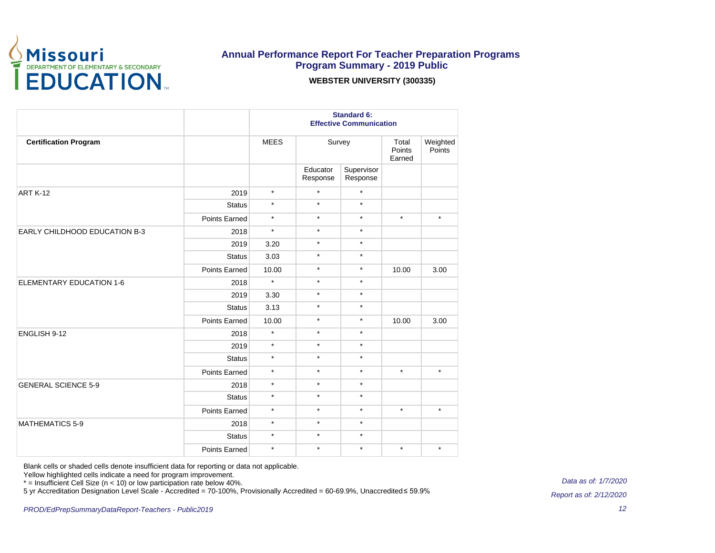

#### **WEBSTER UNIVERSITY (300335)**

|                                      |               | <b>Standard 6:</b><br><b>Effective Communication</b> |                      |                        |                                                            |                    |  |
|--------------------------------------|---------------|------------------------------------------------------|----------------------|------------------------|------------------------------------------------------------|--------------------|--|
| <b>Certification Program</b>         |               | <b>MEES</b>                                          |                      | Survey                 | Total<br>Points<br>Earned                                  | Weighted<br>Points |  |
|                                      |               |                                                      | Educator<br>Response | Supervisor<br>Response |                                                            |                    |  |
| <b>ART K-12</b>                      | 2019          | $\star$                                              | $\star$              | $\star$                |                                                            |                    |  |
|                                      | <b>Status</b> | $\star$                                              | $\star$              | $\star$                |                                                            |                    |  |
|                                      | Points Earned | $\star$                                              | $\star$              | $\star$                | $\star$<br>10.00<br>10.00<br>$\star$<br>$\star$<br>$\star$ | $\star$            |  |
| <b>EARLY CHILDHOOD EDUCATION B-3</b> | 2018          | $\star$                                              | $\star$              | $\star$                |                                                            |                    |  |
|                                      | 2019          | 3.20                                                 | $^\star$             | $\star$                |                                                            |                    |  |
|                                      | <b>Status</b> | 3.03                                                 | $\star$              | $\star$                |                                                            |                    |  |
|                                      | Points Earned | 10.00                                                | $\star$              | $\star$                |                                                            | 3.00               |  |
| <b>ELEMENTARY EDUCATION 1-6</b>      | 2018          | $\star$                                              | $^\star$             | $\star$                |                                                            |                    |  |
|                                      | 2019          | 3.30                                                 | $\star$              | $\star$                |                                                            |                    |  |
|                                      | <b>Status</b> | 3.13                                                 | $^\star$             | $\star$                |                                                            |                    |  |
|                                      | Points Earned | 10.00                                                | $\star$              | $\star$                |                                                            | 3.00               |  |
| ENGLISH 9-12                         | 2018          | $\star$                                              | $\star$              | $\star$                |                                                            |                    |  |
|                                      | 2019          | $\star$                                              | $\star$              | $\star$                |                                                            |                    |  |
|                                      | <b>Status</b> | $\star$                                              | $\star$              | $\star$                |                                                            |                    |  |
|                                      | Points Earned | $\star$                                              | $\star$              | $\star$                |                                                            | $\star$            |  |
| <b>GENERAL SCIENCE 5-9</b>           | 2018          | $\star$                                              | $\star$              | $\star$                |                                                            |                    |  |
|                                      | <b>Status</b> | $\star$                                              | $\star$              | $\star$                |                                                            |                    |  |
|                                      | Points Earned | $\star$                                              | $\star$              | $\star$                |                                                            | $\star$            |  |
| <b>MATHEMATICS 5-9</b>               | 2018          | $\star$                                              | $\star$              | $\star$                |                                                            |                    |  |
|                                      | <b>Status</b> | $\star$                                              | $\star$              | $\star$                |                                                            |                    |  |
|                                      | Points Earned | $\star$                                              | $^\star$             | $\star$                |                                                            | $\star$            |  |

Blank cells or shaded cells denote insufficient data for reporting or data not applicable.

Yellow highlighted cells indicate a need for program improvement.

\* = Insufficient Cell Size (n < 10) or low participation rate below 40%.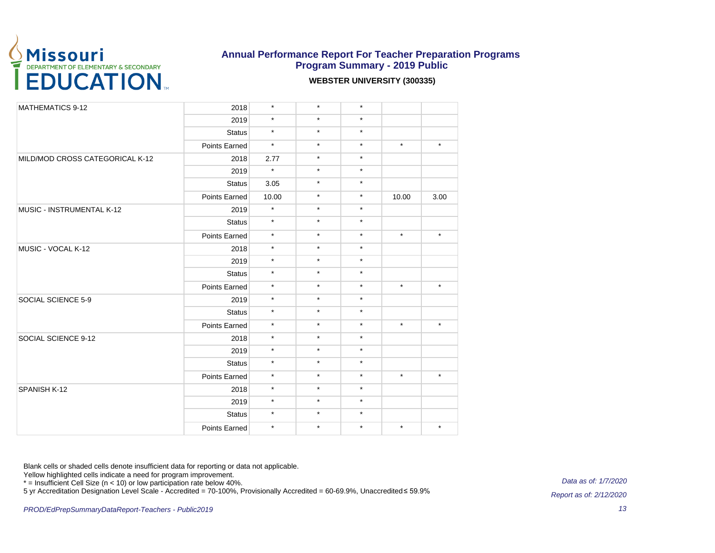

#### **WEBSTER UNIVERSITY (300335)**

| <b>MATHEMATICS 9-12</b>         | 2018                                                                                                                                                                                                                                                                                                                                                                                                                                                                                                                                                     | $\star$ | $\star$ | $\star$ |                                                                                                 |         |
|---------------------------------|----------------------------------------------------------------------------------------------------------------------------------------------------------------------------------------------------------------------------------------------------------------------------------------------------------------------------------------------------------------------------------------------------------------------------------------------------------------------------------------------------------------------------------------------------------|---------|---------|---------|-------------------------------------------------------------------------------------------------|---------|
|                                 | 2019<br>$\star$<br>$\star$<br><b>Status</b><br>$\star$<br>Points Earned<br>2018<br>$\star$<br>2019<br><b>Status</b><br>Points Earned<br>$\star$<br>2019<br>$\star$<br><b>Status</b><br>$\star$<br>Points Earned<br>$\star$<br>2018<br>$\star$<br>2019<br>$\star$<br><b>Status</b><br>$\star$<br>Points Earned<br>$\star$<br>2019<br>$\star$<br><b>Status</b><br>$\star$<br>Points Earned<br>$\star$<br>2018<br>$\star$<br>2019<br>$\star$<br><b>Status</b><br>$\star$<br>Points Earned<br>$\star$<br>2018<br>$\star$<br>2019<br>$\star$<br><b>Status</b> |         | $\star$ | $\star$ |                                                                                                 |         |
|                                 |                                                                                                                                                                                                                                                                                                                                                                                                                                                                                                                                                          |         | $\star$ | $\star$ |                                                                                                 |         |
|                                 |                                                                                                                                                                                                                                                                                                                                                                                                                                                                                                                                                          |         | $\star$ | $\star$ | $\star$                                                                                         | $\star$ |
| MILD/MOD CROSS CATEGORICAL K-12 |                                                                                                                                                                                                                                                                                                                                                                                                                                                                                                                                                          | 2.77    | $\star$ | $\star$ |                                                                                                 |         |
|                                 |                                                                                                                                                                                                                                                                                                                                                                                                                                                                                                                                                          |         | $\star$ | $\star$ |                                                                                                 |         |
|                                 |                                                                                                                                                                                                                                                                                                                                                                                                                                                                                                                                                          | 3.05    | $\star$ | $\star$ |                                                                                                 |         |
|                                 |                                                                                                                                                                                                                                                                                                                                                                                                                                                                                                                                                          | 10.00   | $\star$ | $\star$ | 10.00<br>$\star$<br>$\star$<br>$\star$<br>$\star$<br>$\star$                                    | 3.00    |
| MUSIC - INSTRUMENTAL K-12       |                                                                                                                                                                                                                                                                                                                                                                                                                                                                                                                                                          |         | $\star$ | $\star$ |                                                                                                 |         |
|                                 |                                                                                                                                                                                                                                                                                                                                                                                                                                                                                                                                                          |         | $\star$ | $\star$ |                                                                                                 |         |
|                                 |                                                                                                                                                                                                                                                                                                                                                                                                                                                                                                                                                          |         | $\star$ | $\star$ |                                                                                                 | $\star$ |
| MUSIC - VOCAL K-12              |                                                                                                                                                                                                                                                                                                                                                                                                                                                                                                                                                          |         | $\star$ | $\star$ |                                                                                                 |         |
|                                 |                                                                                                                                                                                                                                                                                                                                                                                                                                                                                                                                                          |         | $\star$ | $\star$ |                                                                                                 |         |
|                                 |                                                                                                                                                                                                                                                                                                                                                                                                                                                                                                                                                          |         | $\star$ | $\star$ |                                                                                                 |         |
|                                 |                                                                                                                                                                                                                                                                                                                                                                                                                                                                                                                                                          |         | $\star$ | $\star$ |                                                                                                 | $\star$ |
| SOCIAL SCIENCE 5-9              |                                                                                                                                                                                                                                                                                                                                                                                                                                                                                                                                                          |         | $\star$ | $\star$ | $\star$<br>$\star$<br>$\star$<br>$\star$<br>$\star$<br>$\star$<br>$\star$<br>$\star$<br>$\star$ |         |
|                                 |                                                                                                                                                                                                                                                                                                                                                                                                                                                                                                                                                          |         | $\star$ |         |                                                                                                 |         |
|                                 |                                                                                                                                                                                                                                                                                                                                                                                                                                                                                                                                                          |         | $\star$ |         |                                                                                                 | $\star$ |
| SOCIAL SCIENCE 9-12             |                                                                                                                                                                                                                                                                                                                                                                                                                                                                                                                                                          |         | $\star$ |         |                                                                                                 |         |
|                                 |                                                                                                                                                                                                                                                                                                                                                                                                                                                                                                                                                          |         | $\star$ |         |                                                                                                 |         |
|                                 |                                                                                                                                                                                                                                                                                                                                                                                                                                                                                                                                                          |         | $\star$ |         |                                                                                                 |         |
|                                 |                                                                                                                                                                                                                                                                                                                                                                                                                                                                                                                                                          |         | $\star$ |         |                                                                                                 | $\star$ |
| SPANISH K-12                    |                                                                                                                                                                                                                                                                                                                                                                                                                                                                                                                                                          |         | $\star$ |         |                                                                                                 |         |
|                                 |                                                                                                                                                                                                                                                                                                                                                                                                                                                                                                                                                          |         | $\star$ |         |                                                                                                 |         |
|                                 |                                                                                                                                                                                                                                                                                                                                                                                                                                                                                                                                                          |         | $\star$ |         |                                                                                                 |         |
|                                 | Points Earned                                                                                                                                                                                                                                                                                                                                                                                                                                                                                                                                            | $\star$ | $\star$ | $\star$ |                                                                                                 | $\star$ |

Blank cells or shaded cells denote insufficient data for reporting or data not applicable.

Yellow highlighted cells indicate a need for program improvement.

\* = Insufficient Cell Size (n < 10) or low participation rate below 40%.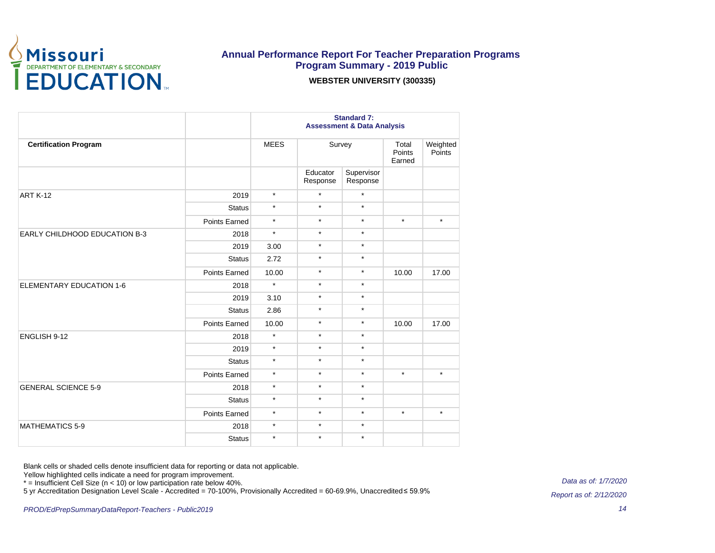

### **Annual Performance Report For Teacher Preparation Programs Program Summary - 2019 Public WEBSTER UNIVERSITY (300335)**

|                               |               | <b>Standard 7:</b><br><b>Assessment &amp; Data Analysis</b> |                      |                        |         |                    |
|-------------------------------|---------------|-------------------------------------------------------------|----------------------|------------------------|---------|--------------------|
| <b>Certification Program</b>  |               | <b>MEES</b>                                                 |                      | Survey                 |         | Weighted<br>Points |
|                               |               |                                                             | Educator<br>Response | Supervisor<br>Response |         |                    |
| <b>ART K-12</b>               | 2019          | $\star$                                                     | $\star$              | $\star$                |         |                    |
|                               | <b>Status</b> | $\star$                                                     | $\star$              | $\star$                |         |                    |
|                               | Points Earned | $\star$                                                     | $\star$              | $\star$                | $\star$ | $\star$            |
| EARLY CHILDHOOD EDUCATION B-3 | 2018          | $\star$                                                     | $\star$              | $\star$                |         |                    |
|                               | 2019          | 3.00                                                        | $\star$              | $\star$                |         |                    |
|                               | <b>Status</b> | 2.72                                                        | $\star$              | $\star$                |         |                    |
|                               | Points Earned | 10.00                                                       | $\star$              | $\star$                | 10.00   | 17.00              |
| ELEMENTARY EDUCATION 1-6      | 2018          | $\star$                                                     | $\star$              | $\star$                |         |                    |
|                               | 2019          | 3.10                                                        | $\star$              | $\star$                |         |                    |
|                               | <b>Status</b> | 2.86                                                        | $\star$              | $\star$                |         |                    |
|                               | Points Earned | 10.00                                                       | $\star$              | $\star$                | 10.00   | 17.00              |
| ENGLISH 9-12                  | 2018          | $\star$                                                     | $\star$              | $\star$                |         |                    |
|                               | 2019          | $\star$                                                     | $\star$              | $\star$                |         |                    |
|                               | <b>Status</b> | $\star$                                                     | $\star$              | $\star$                |         |                    |
|                               | Points Earned | $\star$                                                     | $\star$              | $\star$                | $\star$ | $\star$            |
| <b>GENERAL SCIENCE 5-9</b>    | 2018          | $\star$                                                     | $\star$              | $\star$                |         |                    |
|                               | <b>Status</b> | $\star$                                                     | $\star$              | $\star$                |         |                    |
|                               | Points Earned | $\star$                                                     | $\star$              | $\star$                | $\star$ | $\star$            |
| <b>MATHEMATICS 5-9</b>        | 2018          | $\star$                                                     | $\star$              | $\star$                |         |                    |
|                               | <b>Status</b> | $\star$                                                     | $\star$              | $\star$                |         |                    |

Blank cells or shaded cells denote insufficient data for reporting or data not applicable.

Yellow highlighted cells indicate a need for program improvement.

\* = Insufficient Cell Size (n < 10) or low participation rate below 40%.

5 yr Accreditation Designation Level Scale - Accredited = 70-100%, Provisionally Accredited = 60-69.9%, Unaccredited ≤ 59.9%

Data as of: 1/7/2020 Report as of: 2/12/2020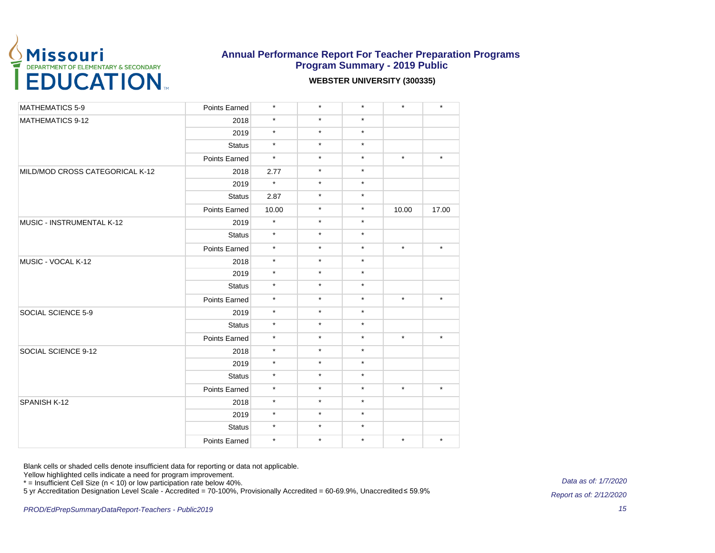

#### **WEBSTER UNIVERSITY (300335)**

| <b>MATHEMATICS 5-9</b>          | Points Earned | $\star$ | $\star$ | $\star$ | $\star$ | $\star$ |
|---------------------------------|---------------|---------|---------|---------|---------|---------|
| <b>MATHEMATICS 9-12</b>         | 2018          | $\star$ | $\star$ | $\star$ |         |         |
|                                 | 2019          | $\star$ | $\star$ | $\star$ |         |         |
|                                 | <b>Status</b> | $\star$ | $\star$ | $\star$ |         |         |
|                                 | Points Earned | $\star$ | $\star$ | $\star$ | $\star$ | $\star$ |
| MILD/MOD CROSS CATEGORICAL K-12 | 2018          | 2.77    | $\star$ | $\star$ |         |         |
|                                 | 2019          | $\star$ | $\star$ | $\star$ |         |         |
|                                 | <b>Status</b> | 2.87    | $\star$ | $\star$ |         |         |
|                                 | Points Earned | 10.00   | $\star$ | $\star$ | 10.00   | 17.00   |
| MUSIC - INSTRUMENTAL K-12       | 2019          | $\star$ | $\star$ | $\star$ |         |         |
|                                 | <b>Status</b> | $\star$ | $\star$ | $\star$ |         |         |
|                                 | Points Earned | $\star$ | $\star$ | $\star$ | $\star$ | $\star$ |
| MUSIC - VOCAL K-12              | 2018          | $\star$ | $\star$ | $\star$ |         |         |
|                                 | 2019          | $\star$ | $\star$ | $\star$ |         |         |
|                                 | <b>Status</b> | $\star$ | $\star$ | $\star$ |         |         |
|                                 | Points Earned | $\star$ | $\star$ | $\star$ | $\star$ | $\star$ |
| SOCIAL SCIENCE 5-9              | 2019          | $\star$ | $\star$ | $\star$ |         |         |
|                                 | <b>Status</b> | $\star$ | $\star$ | $\star$ |         |         |
|                                 | Points Earned | $\star$ | $\star$ | $\star$ | $\star$ | $\star$ |
| SOCIAL SCIENCE 9-12             | 2018          | $\star$ | $\star$ | $\star$ |         |         |
|                                 | 2019          | $\star$ | $\star$ | $\star$ |         |         |
|                                 | <b>Status</b> | $\star$ | $\star$ | $\star$ |         |         |
|                                 | Points Earned | $\star$ | $\star$ | $\star$ | $\star$ | $\star$ |
| SPANISH K-12                    | 2018          | $\star$ | $\star$ | $\star$ |         |         |
|                                 | 2019          | $\star$ | $\star$ | $\star$ |         |         |
|                                 | <b>Status</b> | $\star$ | $\star$ | $\star$ |         |         |
|                                 | Points Earned | $\star$ | $\star$ | $\star$ | $\star$ | $\star$ |

Blank cells or shaded cells denote insufficient data for reporting or data not applicable.

Yellow highlighted cells indicate a need for program improvement.

\* = Insufficient Cell Size (n < 10) or low participation rate below 40%.

5 yr Accreditation Designation Level Scale - Accredited = 70-100%, Provisionally Accredited = 60-69.9%, Unaccredited ≤ 59.9%

Data as of: 1/7/2020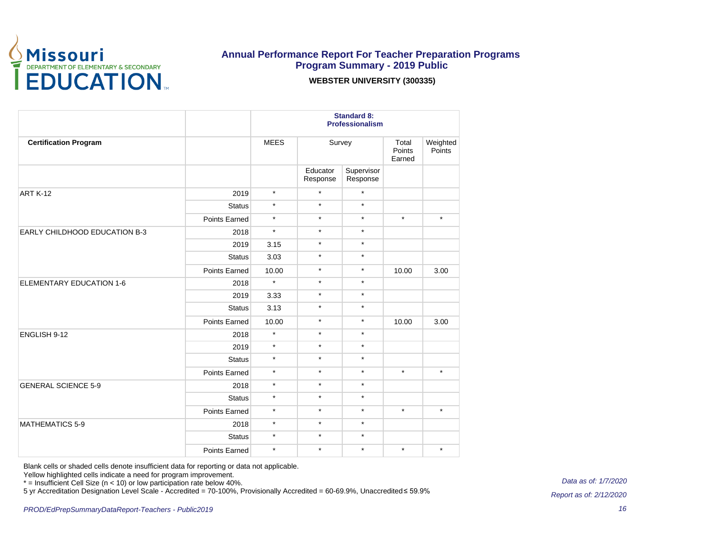

**WEBSTER UNIVERSITY (300335)**

|                                      |               | <b>Standard 8:</b><br><b>Professionalism</b> |                      |                        |                           |                    |
|--------------------------------------|---------------|----------------------------------------------|----------------------|------------------------|---------------------------|--------------------|
| <b>Certification Program</b>         |               | <b>MEES</b>                                  | Survey               |                        | Total<br>Points<br>Earned | Weighted<br>Points |
|                                      |               |                                              | Educator<br>Response | Supervisor<br>Response |                           |                    |
| <b>ART K-12</b>                      | 2019          | $\star$                                      | $\star$              | $\star$                |                           |                    |
|                                      | <b>Status</b> | $\star$                                      | $\star$              | $\star$                |                           |                    |
|                                      | Points Earned | $\star$                                      | $\star$              | $\star$                | $\star$                   | $\star$            |
| <b>EARLY CHILDHOOD EDUCATION B-3</b> | 2018          | $\star$                                      | $\star$              | $\star$                |                           |                    |
|                                      | 2019          | 3.15                                         | $\star$              | $\star$                |                           |                    |
|                                      | <b>Status</b> | 3.03                                         | $\star$              | $\star$                |                           |                    |
|                                      | Points Earned | 10.00                                        | $\star$              | $\star$                | 10.00                     | 3.00               |
| ELEMENTARY EDUCATION 1-6             | 2018          | $\star$                                      | $\star$              | $\star$                |                           |                    |
|                                      | 2019          | 3.33                                         | $\star$              | $\star$                |                           |                    |
|                                      | <b>Status</b> | 3.13                                         | $\star$              | $\star$                |                           |                    |
|                                      | Points Earned | 10.00                                        | $\star$              | $\star$                | 10.00                     | 3.00               |
| ENGLISH 9-12                         | 2018          | $\star$                                      | $\star$              | $\star$                |                           |                    |
|                                      | 2019          | $\star$                                      | $\star$              | $\star$                |                           |                    |
|                                      | <b>Status</b> | $\star$                                      | $\star$              | $\star$                |                           |                    |
|                                      | Points Earned | $\star$                                      | $\star$              | $\star$                | $\star$                   | $\star$            |
| <b>GENERAL SCIENCE 5-9</b>           | 2018          | $\star$                                      | $\star$              | $\star$                |                           |                    |
|                                      | <b>Status</b> | $\star$                                      | $\star$              | $\star$                |                           |                    |
|                                      | Points Earned | $\star$                                      | $\star$              | $\star$                | $\star$                   | $\star$            |
| <b>MATHEMATICS 5-9</b>               | 2018          | $\star$                                      | $\star$              | $\star$                |                           |                    |
|                                      | <b>Status</b> | $\star$                                      | $\star$              | $\star$                |                           |                    |
|                                      | Points Earned | $\star$                                      | $\star$              | $\star$                | $\star$                   | $\star$            |

Blank cells or shaded cells denote insufficient data for reporting or data not applicable.

Yellow highlighted cells indicate a need for program improvement.

\* = Insufficient Cell Size (n < 10) or low participation rate below 40%.

5 yr Accreditation Designation Level Scale - Accredited = 70-100%, Provisionally Accredited = 60-69.9%, Unaccredited ≤ 59.9%

Data as of: 1/7/2020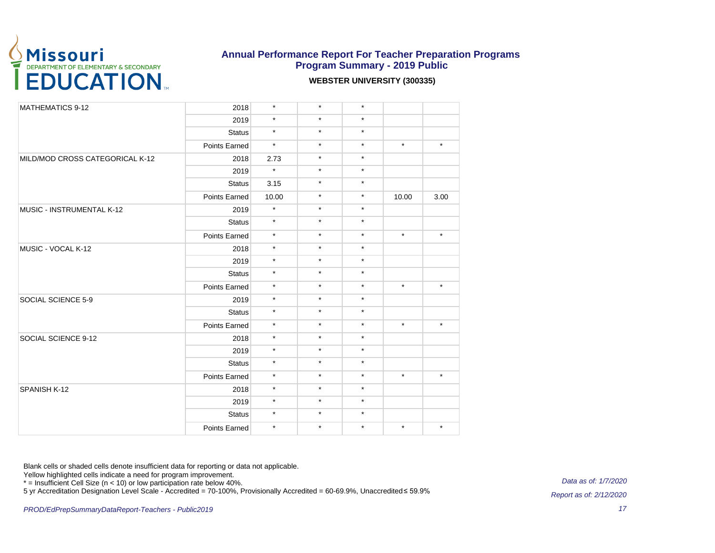

#### **WEBSTER UNIVERSITY (300335)**

| <b>MATHEMATICS 9-12</b>         | 2018          | $\star$ | $\star$ | $\star$ |         |         |
|---------------------------------|---------------|---------|---------|---------|---------|---------|
|                                 | 2019          | $\star$ | $\star$ | $\star$ |         |         |
|                                 | <b>Status</b> | $\star$ | $\star$ | $\star$ |         |         |
|                                 | Points Earned | $\star$ | $\star$ | $\star$ | $\star$ | $\star$ |
| MILD/MOD CROSS CATEGORICAL K-12 | 2018          | 2.73    | $\star$ | $\star$ |         |         |
|                                 | 2019          | $\star$ | $\star$ | $\star$ |         |         |
|                                 | <b>Status</b> | 3.15    | $\star$ | $\star$ |         |         |
|                                 | Points Earned | 10.00   | $\star$ | $\star$ | 10.00   | 3.00    |
| MUSIC - INSTRUMENTAL K-12       | 2019          | $\star$ | $\star$ | $\star$ |         |         |
|                                 | <b>Status</b> | $\star$ | $\star$ | $\star$ |         |         |
|                                 | Points Earned | $\star$ | $\star$ | $\star$ | $\star$ | $\star$ |
| MUSIC - VOCAL K-12              | 2018          | $\star$ | $\star$ | $\star$ |         |         |
|                                 | 2019          | $\star$ | $\star$ | $\star$ |         |         |
|                                 | <b>Status</b> | $\star$ | $\star$ | $\star$ |         |         |
|                                 | Points Earned | $\star$ | $\star$ | $\star$ | $\star$ | $\star$ |
| SOCIAL SCIENCE 5-9              | 2019          | $\star$ | $\star$ | $\star$ |         |         |
|                                 | <b>Status</b> | $\star$ | $\star$ | $\star$ |         |         |
|                                 | Points Earned | $\star$ | $\star$ | $\star$ | $\star$ | $\star$ |
| SOCIAL SCIENCE 9-12             | 2018          | $\star$ | $\star$ | $\star$ |         |         |
|                                 | 2019          | $\star$ | $\star$ | $\star$ |         |         |
|                                 | <b>Status</b> | $\star$ | $\star$ | $\star$ |         |         |
|                                 | Points Earned | $\star$ | $\star$ | $\star$ | $\star$ | $\star$ |
| SPANISH K-12                    | 2018          | $\star$ | $\star$ | $\star$ |         |         |
|                                 | 2019          | $\star$ | $\star$ | $\star$ |         |         |
|                                 | <b>Status</b> | $\star$ | $\star$ | $\star$ |         |         |
|                                 | Points Earned | $\star$ | $\star$ | $\star$ | $\star$ | $\star$ |

Blank cells or shaded cells denote insufficient data for reporting or data not applicable.

Yellow highlighted cells indicate a need for program improvement.

\* = Insufficient Cell Size (n < 10) or low participation rate below 40%.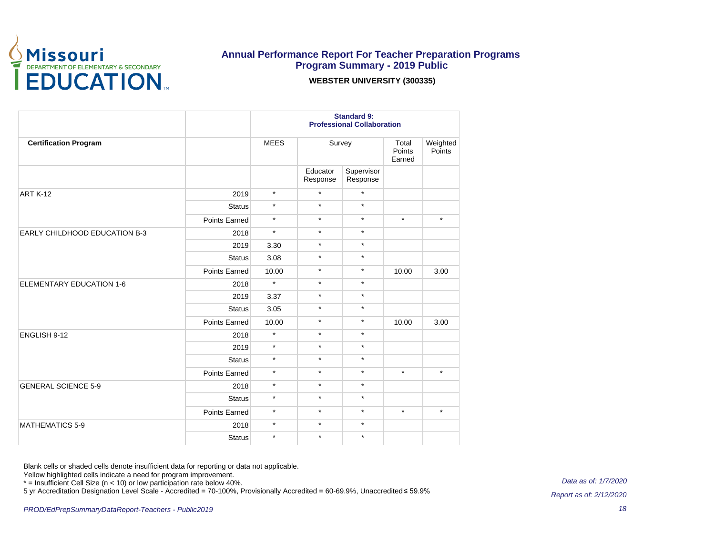

**WEBSTER UNIVERSITY (300335)**

|                                      |                      | <b>Standard 9:</b><br><b>Professional Collaboration</b> |                      |                        |                           |                    |  |
|--------------------------------------|----------------------|---------------------------------------------------------|----------------------|------------------------|---------------------------|--------------------|--|
| <b>Certification Program</b>         |                      | <b>MEES</b>                                             | Survey               |                        | Total<br>Points<br>Earned | Weighted<br>Points |  |
|                                      |                      |                                                         | Educator<br>Response | Supervisor<br>Response |                           |                    |  |
| <b>ART K-12</b>                      | 2019                 | $\star$                                                 | $\star$              | $\star$                |                           |                    |  |
|                                      | <b>Status</b>        | $\star$                                                 | $\star$              | $\star$                |                           |                    |  |
|                                      | Points Earned        | $\star$                                                 | $\star$              | $\star$                | $\star$                   | $\star$            |  |
| <b>EARLY CHILDHOOD EDUCATION B-3</b> | 2018                 | $\star$                                                 | $\star$              | $\star$                |                           |                    |  |
|                                      | 2019                 | 3.30                                                    | $\star$              | $\star$                |                           |                    |  |
|                                      | <b>Status</b>        | 3.08                                                    | $\star$              | $\star$                |                           |                    |  |
|                                      | Points Earned        | 10.00                                                   | $\star$              | $\star$                | 10.00                     | 3.00               |  |
| <b>ELEMENTARY EDUCATION 1-6</b>      | 2018                 | $\star$                                                 | $\star$              | $\star$                |                           |                    |  |
|                                      | 2019                 | 3.37                                                    | $\star$              | $\star$                |                           |                    |  |
|                                      | <b>Status</b>        | 3.05                                                    | $\star$              | $\star$                |                           |                    |  |
|                                      | Points Earned        | 10.00                                                   | $\star$              | $\star$                | 10.00                     | 3.00               |  |
| ENGLISH 9-12                         | 2018                 | $\star$                                                 | $\star$              | $\star$                |                           |                    |  |
|                                      | 2019                 | $\star$                                                 | $\star$              | $\star$                |                           |                    |  |
|                                      | <b>Status</b>        | $\star$                                                 | $\star$              | $\star$                |                           |                    |  |
|                                      | <b>Points Earned</b> | $\star$                                                 | $\star$              | $\star$                | $\star$                   | $\star$            |  |
| <b>GENERAL SCIENCE 5-9</b>           | 2018                 | $\star$                                                 | $\star$              | $\star$                |                           |                    |  |
|                                      | <b>Status</b>        | $\star$                                                 | $\star$              | $\star$                |                           |                    |  |
|                                      | <b>Points Earned</b> | $\star$                                                 | $\star$              | $\star$                | $\star$                   | $\star$            |  |
| <b>MATHEMATICS 5-9</b>               | 2018                 | $\star$                                                 | $\star$              | $\star$                |                           |                    |  |
|                                      | <b>Status</b>        | $\star$                                                 | $\star$              | $\star$                |                           |                    |  |

Blank cells or shaded cells denote insufficient data for reporting or data not applicable.

Yellow highlighted cells indicate a need for program improvement.

\* = Insufficient Cell Size (n < 10) or low participation rate below 40%.

5 yr Accreditation Designation Level Scale - Accredited = 70-100%, Provisionally Accredited = 60-69.9%, Unaccredited ≤ 59.9%

Data as of: 1/7/2020